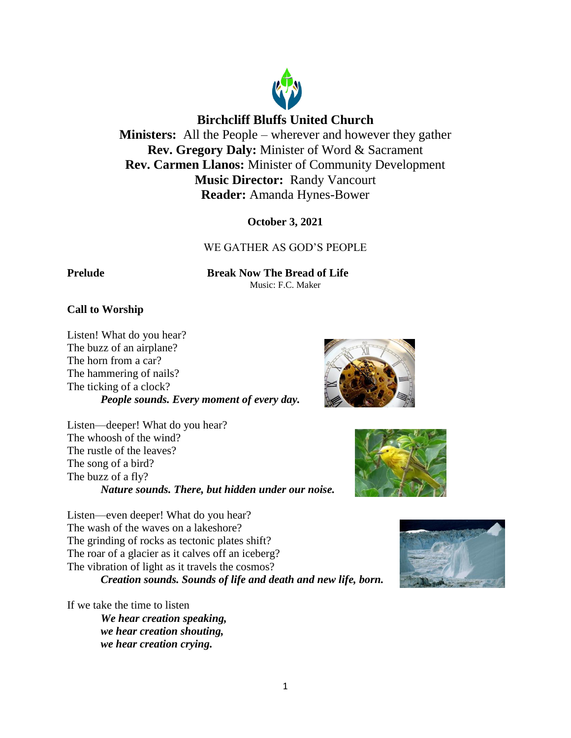

# **Birchcliff Bluffs United Church**

**Ministers:** All the People – wherever and however they gather **Rev. Gregory Daly:** Minister of Word & Sacrament **Rev. Carmen Llanos:** Minister of Community Development **Music Director:** Randy Vancourt **Reader:** Amanda Hynes-Bower

**October 3, 2021**

# WE GATHER AS GOD'S PEOPLE

**Prelude Break Now The Bread of Life** Music: F.C. Maker

# **Call to Worship**

Listen! What do you hear? The buzz of an airplane? The horn from a car? The hammering of nails? The ticking of a clock? *People sounds. Every moment of every day.*

Listen—deeper! What do you hear? The whoosh of the wind? The rustle of the leaves? The song of a bird? The buzz of a fly? *Nature sounds. There, but hidden under our noise.*

Listen—even deeper! What do you hear? The wash of the waves on a lakeshore? The grinding of rocks as tectonic plates shift? The roar of a glacier as it calves off an iceberg? The vibration of light as it travels the cosmos? *Creation sounds. Sounds of life and death and new life, born.*

If we take the time to listen

*We hear creation speaking, we hear creation shouting, we hear creation crying.*





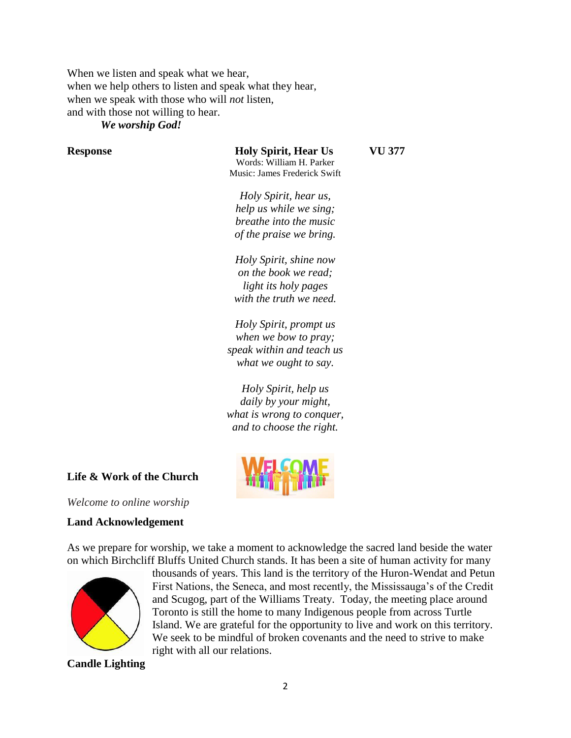When we listen and speak what we hear, when we help others to listen and speak what they hear, when we speak with those who will *not* listen, and with those not willing to hear.

*We worship God!*

**Response Holy Spirit, Hear Us VU 377** Words: William H. Parker Music: James Frederick Swift

*Holy Spirit, hear us, help us while we sing; breathe into the music of the praise we bring.*

*Holy Spirit, shine now on the book we read; light its holy pages with the truth we need.*

*Holy Spirit, prompt us when we bow to pray; speak within and teach us what we ought to say.*

*Holy Spirit, help us daily by your might, what is wrong to conquer, and to choose the right.*

# **Life & Work of the Church**

*Welcome to online worship*

## **Land Acknowledgement**

As we prepare for worship, we take a moment to acknowledge the sacred land beside the water on which Birchcliff Bluffs United Church stands. It has been a site of human activity for many



thousands of years. This land is the territory of the Huron-Wendat and Petun First Nations, the Seneca, and most recently, the Mississauga's of the Credit and Scugog, part of the Williams Treaty. Today, the meeting place around Toronto is still the home to many Indigenous people from across Turtle Island. We are grateful for the opportunity to live and work on this territory. We seek to be mindful of broken covenants and the need to strive to make right with all our relations.

**Candle Lighting**

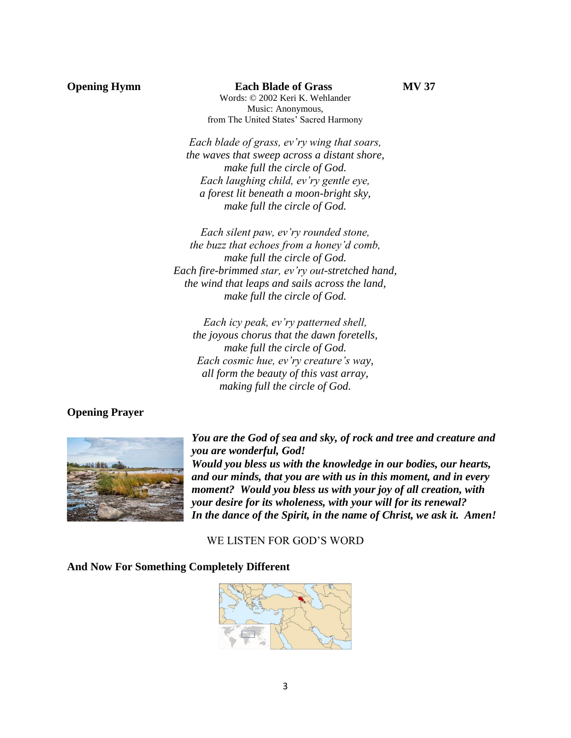### **Opening Hymn Each Blade of Grass MV 37**

Words: © 2002 Keri K. Wehlander Music: Anonymous, from The United States' Sacred Harmony

*Each blade of grass, ev'ry wing that soars, the waves that sweep across a distant shore, make full the circle of God. Each laughing child, ev'ry gentle eye, a forest lit beneath a moon-bright sky, make full the circle of God.*

*Each silent paw, ev'ry rounded stone, the buzz that echoes from a honey'd comb, make full the circle of God. Each fire-brimmed star, ev'ry out-stretched hand, the wind that leaps and sails across the land, make full the circle of God.*

*Each icy peak, ev'ry patterned shell, the joyous chorus that the dawn foretells, make full the circle of God. Each cosmic hue, ev'ry creature's way, all form the beauty of this vast array, making full the circle of God.*

## **Opening Prayer**



*You are the God of sea and sky, of rock and tree and creature and you are wonderful, God! Would you bless us with the knowledge in our bodies, our hearts, and our minds, that you are with us in this moment, and in every moment? Would you bless us with your joy of all creation, with your desire for its wholeness, with your will for its renewal? In the dance of the Spirit, in the name of Christ, we ask it. Amen!*

WE LISTEN FOR GOD'S WORD

#### **And Now For Something Completely Different**

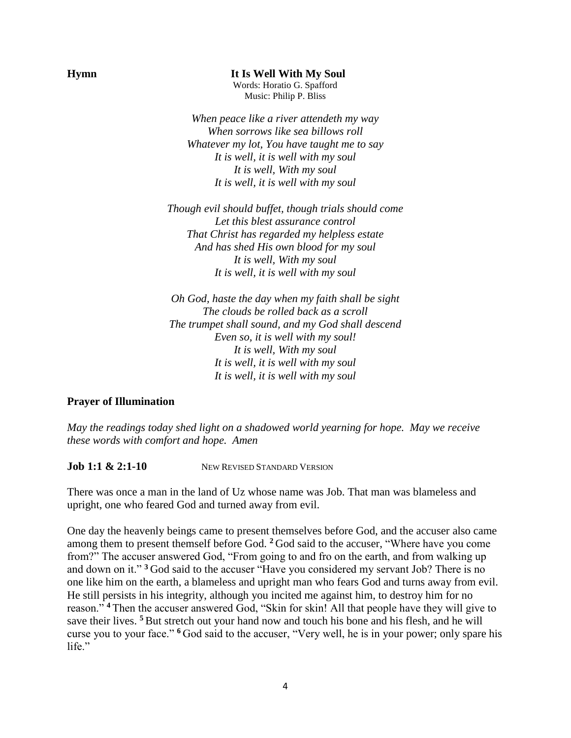**Hymn It Is Well With My Soul**

Words: Horatio G. Spafford Music: Philip P. Bliss

*When peace like a river attendeth my way When sorrows like sea billows roll Whatever my lot, You have taught me to say It is well, it is well with my soul It is well, With my soul It is well, it is well with my soul*

*Though evil should buffet, though trials should come Let this blest assurance control That Christ has regarded my helpless estate And has shed His own blood for my soul It is well, With my soul It is well, it is well with my soul*

*Oh God, haste the day when my faith shall be sight The clouds be rolled back as a scroll The trumpet shall sound, and my God shall descend Even so, it is well with my soul! It is well, With my soul It is well, it is well with my soul It is well, it is well with my soul*

## **Prayer of Illumination**

*May the readings today shed light on a shadowed world yearning for hope. May we receive these words with comfort and hope. Amen*

**Job 1:1 & 2:1-10** NEW REVISED STANDARD VERSION

There was once a man in the land of Uz whose name was Job. That man was blameless and upright, one who feared God and turned away from evil.

One day the heavenly beings came to present themselves before God, and the accuser also came among them to present themself before God. **<sup>2</sup>** God said to the accuser, "Where have you come from?" The accuser answered God, "From going to and fro on the earth, and from walking up and down on it." **<sup>3</sup>** God said to the accuser "Have you considered my servant Job? There is no one like him on the earth, a blameless and upright man who fears God and turns away from evil. He still persists in his integrity, although you incited me against him, to destroy him for no reason." **<sup>4</sup>** Then the accuser answered God, "Skin for skin! All that people have they will give to save their lives. **<sup>5</sup>** But stretch out your hand now and touch his bone and his flesh, and he will curse you to your face." **<sup>6</sup>** God said to the accuser, "Very well, he is in your power; only spare his life."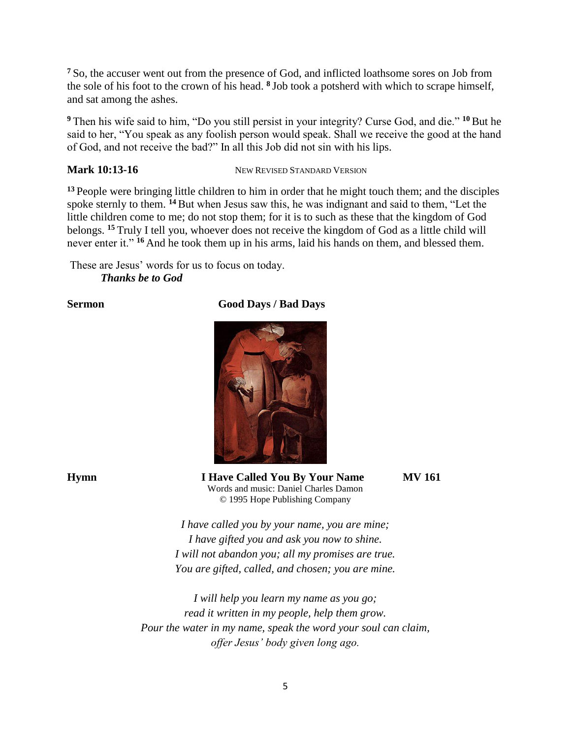**<sup>7</sup>** So, the accuser went out from the presence of God, and inflicted loathsome sores on Job from the sole of his foot to the crown of his head. **<sup>8</sup>** Job took a potsherd with which to scrape himself, and sat among the ashes.

**<sup>9</sup>** Then his wife said to him, "Do you still persist in your integrity? Curse God, and die." **<sup>10</sup>** But he said to her, "You speak as any foolish person would speak. Shall we receive the good at the hand of God, and not receive the bad?" In all this Job did not sin with his lips.

**Mark 10:13-16** NEW REVISED STANDARD VERSION

**<sup>13</sup>** People were bringing little children to him in order that he might touch them; and the disciples spoke sternly to them. <sup>14</sup> But when Jesus saw this, he was indignant and said to them, "Let the little children come to me; do not stop them; for it is to such as these that the kingdom of God belongs. **<sup>15</sup>** Truly I tell you, whoever does not receive the kingdom of God as a little child will never enter it." **<sup>16</sup>** And he took them up in his arms, laid his hands on them, and blessed them.

These are Jesus' words for us to focus on today. *Thanks be to God*

# **Sermon** Good Days / Bad Days



**Hymn I Have Called You By Your Name MV 161**

Words and music: Daniel Charles Damon © 1995 Hope Publishing Company

*I have called you by your name, you are mine; I have gifted you and ask you now to shine. I will not abandon you; all my promises are true. You are gifted, called, and chosen; you are mine.*

*I will help you learn my name as you go; read it written in my people, help them grow. Pour the water in my name, speak the word your soul can claim, offer Jesus' body given long ago.*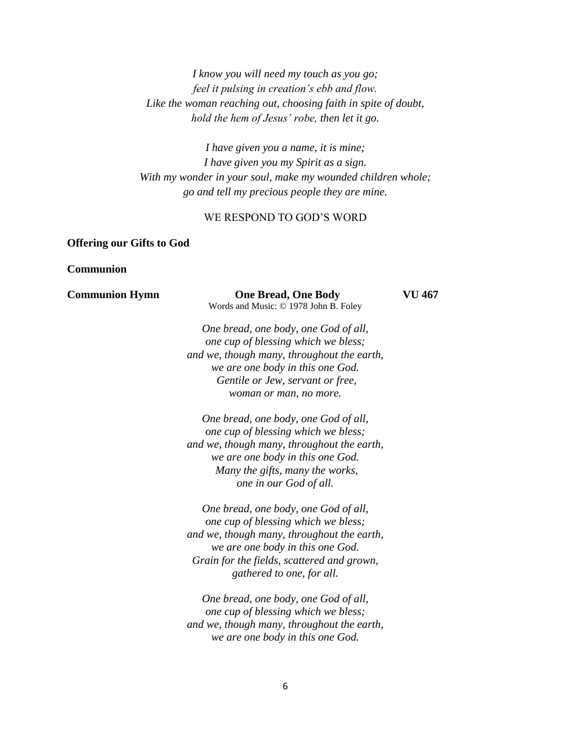*I know you will need my touch as you go; feel it pulsing in creation's ebb and flow. Like the woman reaching out, choosing faith in spite of doubt, hold the hem of Jesus' robe, then let it go.*

*I have given you a name, it is mine; I have given you my Spirit as a sign. With my wonder in your soul, make my wounded children whole; go and tell my precious people they are mine.*

# WE RESPOND TO GOD'S WORD

# **Offering our Gifts to God**

## **Communion**

| <b>Communion Hymn</b> | <b>One Bread, One Body</b><br>Words and Music: © 1978 John B. Foley         | VU 467 |
|-----------------------|-----------------------------------------------------------------------------|--------|
|                       | One bread, one body, one God of all,<br>one cup of blessing which we bless; |        |
|                       | and we, though many, throughout the earth,                                  |        |
|                       | we are one body in this one God.                                            |        |
|                       | Gentile or Jew, servant or free,                                            |        |
|                       | woman or man, no more.                                                      |        |
|                       | One bread, one body, one God of all,                                        |        |
|                       | one cup of blessing which we bless;                                         |        |
|                       | and we, though many, throughout the earth,                                  |        |
|                       | we are one body in this one God.                                            |        |
|                       | Many the gifts, many the works,                                             |        |
|                       | one in our God of all.                                                      |        |
|                       | One bread, one body, one God of all,                                        |        |
|                       | one cup of blessing which we bless;                                         |        |
|                       | and we, though many, throughout the earth,                                  |        |
|                       | we are one body in this one God.                                            |        |
|                       | Grain for the fields, scattered and grown,                                  |        |
|                       | gathered to one, for all.                                                   |        |
|                       | One bread, one body, one God of all,                                        |        |
|                       | one cup of blessing which we bless;                                         |        |
|                       | and we, though many, throughout the earth,                                  |        |
|                       | we are one body in this one God.                                            |        |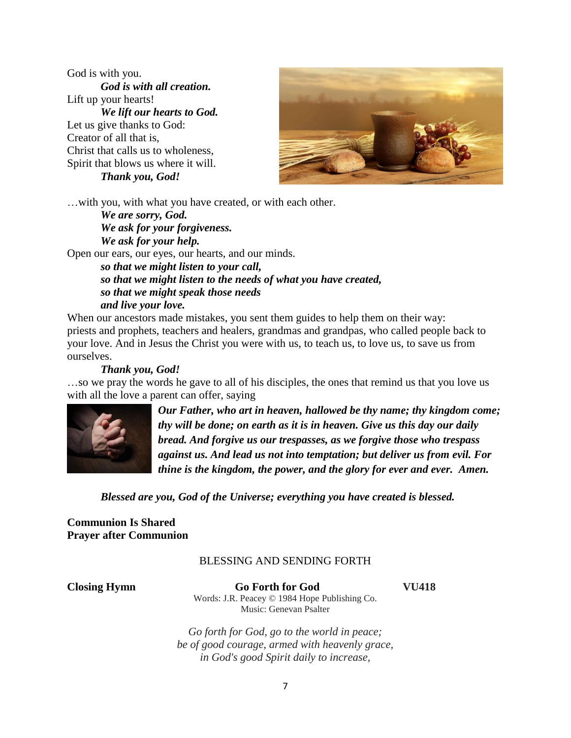God is with you. *God is with all creation.* Lift up your hearts! *We lift our hearts to God.* Let us give thanks to God: Creator of all that is, Christ that calls us to wholeness, Spirit that blows us where it will. *Thank you, God!*



…with you, with what you have created, or with each other.

*We are sorry, God. We ask for your forgiveness. We ask for your help.*

Open our ears, our eyes, our hearts, and our minds. *so that we might listen to your call, so that we might listen to the needs of what you have created, so that we might speak those needs and live your love.*

When our ancestors made mistakes, you sent them guides to help them on their way: priests and prophets, teachers and healers, grandmas and grandpas, who called people back to your love. And in Jesus the Christ you were with us, to teach us, to love us, to save us from ourselves.

## *Thank you, God!*

…so we pray the words he gave to all of his disciples, the ones that remind us that you love us with all the love a parent can offer, saying



*Our Father, who art in heaven, hallowed be thy name; thy kingdom come; thy will be done; on earth as it is in heaven. Give us this day our daily bread. And forgive us our trespasses, as we forgive those who trespass against us. And lead us not into temptation; but deliver us from evil. For thine is the kingdom, the power, and the glory for ever and ever. Amen.*

*Blessed are you, God of the Universe; everything you have created is blessed.*

## **Communion Is Shared Prayer after Communion**

## BLESSING AND SENDING FORTH

**Closing Hymn Go Forth for God VU418** Words: J.R. Peacey © 1984 Hope Publishing Co. Music: Genevan Psalter

*Go forth for God, go to the world in peace; be of good courage, armed with heavenly grace, in God's good Spirit daily to increase,*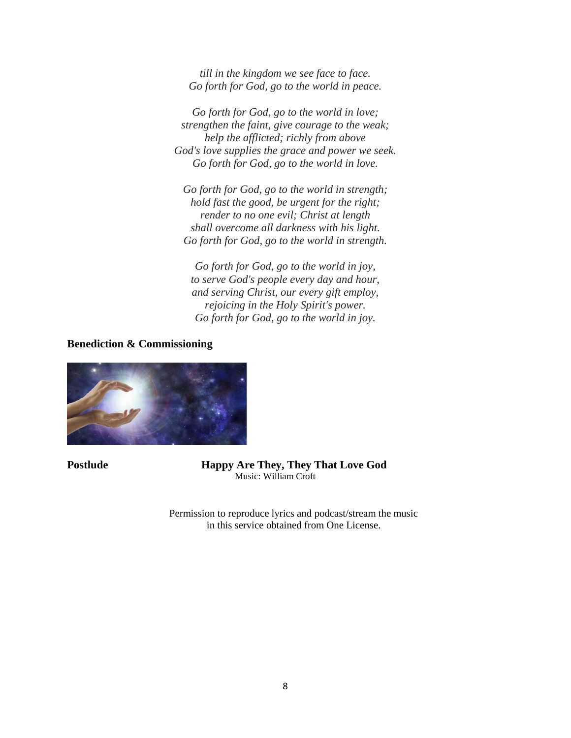*till in the kingdom we see face to face. Go forth for God, go to the world in peace.*

*Go forth for God, go to the world in love; strengthen the faint, give courage to the weak; help the afflicted; richly from above God's love supplies the grace and power we seek. Go forth for God, go to the world in love.*

*Go forth for God, go to the world in strength; hold fast the good, be urgent for the right; render to no one evil; Christ at length shall overcome all darkness with his light. Go forth for God, go to the world in strength.*

*Go forth for God, go to the world in joy, to serve God's people every day and hour, and serving Christ, our every gift employ, rejoicing in the Holy Spirit's power. Go forth for God, go to the world in joy.*

**Benediction & Commissioning** 



**Postlude Happy Are They, They That Love God** Music: William Croft

> Permission to reproduce lyrics and podcast/stream the music in this service obtained from One License.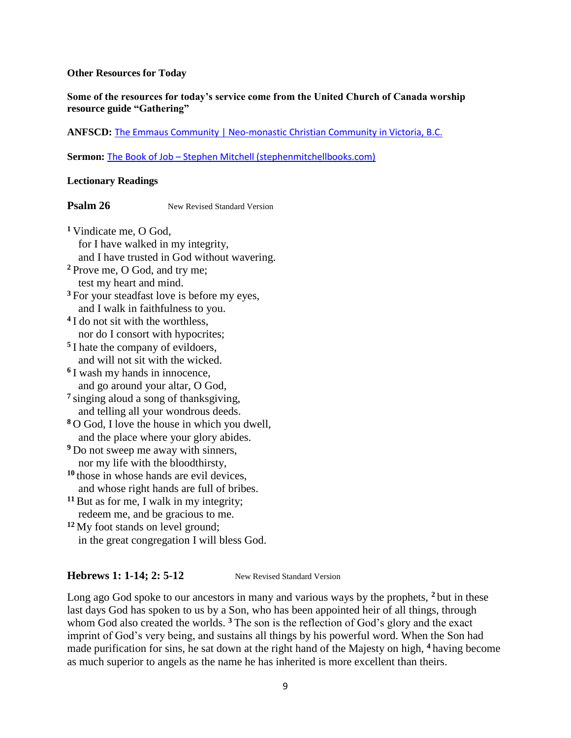#### **Other Resources for Today**

### **Some of the resources for today's service come from the United Church of Canada worship resource guide "Gathering"**

#### **ANFSCD:** [The Emmaus Community | Neo-monastic Christian Community in Victoria, B.C.](https://www.emmauscommunity.ca/)

**Sermon:** The Book of Job – [Stephen Mitchell \(stephenmitchellbooks.com\)](https://stephenmitchellbooks.com/translations-adaptations/the-book-of-job/)

### **Lectionary Readings**

## **Psalm 26** New Revised Standard Version

**<sup>1</sup>** Vindicate me, O God, for I have walked in my integrity, and I have trusted in God without wavering. **<sup>2</sup>** Prove me, O God, and try me; test my heart and mind. **<sup>3</sup>** For your steadfast love is before my eyes, and I walk in faithfulness to you. **4** I do not sit with the worthless, nor do I consort with hypocrites; **5** I hate the company of evildoers, and will not sit with the wicked. **6** I wash my hands in innocence, and go around your altar, O God, **7** singing aloud a song of thanksgiving, and telling all your wondrous deeds. **<sup>8</sup>** O God, I love the house in which you dwell, and the place where your glory abides. **<sup>9</sup>** Do not sweep me away with sinners, nor my life with the bloodthirsty, **<sup>10</sup>** those in whose hands are evil devices, and whose right hands are full of bribes. **<sup>11</sup>**But as for me, I walk in my integrity; redeem me, and be gracious to me. **<sup>12</sup>** My foot stands on level ground;

in the great congregation I will bless God.

### **Hebrews 1: 1-14; 2: 5-12** New Revised Standard Version

Long ago God spoke to our ancestors in many and various ways by the prophets, **<sup>2</sup>** but in these last days God has spoken to us by a Son, who has been appointed heir of all things, through whom God also created the worlds. <sup>3</sup> The son is the reflection of God's glory and the exact imprint of God's very being, and sustains all things by his powerful word. When the Son had made purification for sins, he sat down at the right hand of the Majesty on high, **<sup>4</sup>** having become as much superior to angels as the name he has inherited is more excellent than theirs.